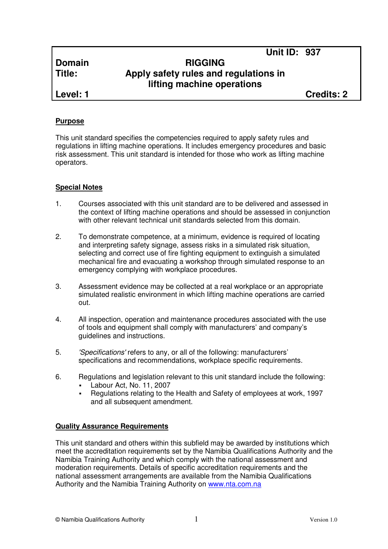# **Domain RIGGING Title: Apply safety rules and regulations in lifting machine operations**

**Level: 1 Credits: 2**

**Unit ID: 937** 

## **Purpose**

This unit standard specifies the competencies required to apply safety rules and regulations in lifting machine operations. It includes emergency procedures and basic risk assessment. This unit standard is intended for those who work as lifting machine operators.

## **Special Notes**

- 1. Courses associated with this unit standard are to be delivered and assessed in the context of lifting machine operations and should be assessed in conjunction with other relevant technical unit standards selected from this domain.
- 2. To demonstrate competence, at a minimum, evidence is required of locating and interpreting safety signage, assess risks in a simulated risk situation, selecting and correct use of fire fighting equipment to extinguish a simulated mechanical fire and evacuating a workshop through simulated response to an emergency complying with workplace procedures.
- 3. Assessment evidence may be collected at a real workplace or an appropriate simulated realistic environment in which lifting machine operations are carried out.
- 4. All inspection, operation and maintenance procedures associated with the use of tools and equipment shall comply with manufacturers' and company's guidelines and instructions.
- 5. 'Specifications' refers to any, or all of the following: manufacturers' specifications and recommendations, workplace specific requirements.
- 6. Regulations and legislation relevant to this unit standard include the following:
	- Labour Act, No. 11, 2007
	- Regulations relating to the Health and Safety of employees at work, 1997 and all subsequent amendment.

## **Quality Assurance Requirements**

This unit standard and others within this subfield may be awarded by institutions which meet the accreditation requirements set by the Namibia Qualifications Authority and the Namibia Training Authority and which comply with the national assessment and moderation requirements. Details of specific accreditation requirements and the national assessment arrangements are available from the Namibia Qualifications Authority and the Namibia Training Authority on www.nta.com.na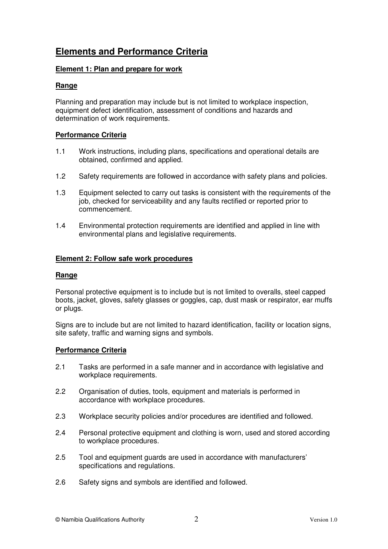# **Elements and Performance Criteria**

## **Element 1: Plan and prepare for work**

#### **Range**

Planning and preparation may include but is not limited to workplace inspection, equipment defect identification, assessment of conditions and hazards and determination of work requirements.

#### **Performance Criteria**

- 1.1 Work instructions, including plans, specifications and operational details are obtained, confirmed and applied.
- 1.2 Safety requirements are followed in accordance with safety plans and policies.
- 1.3 Equipment selected to carry out tasks is consistent with the requirements of the job, checked for serviceability and any faults rectified or reported prior to commencement.
- 1.4 Environmental protection requirements are identified and applied in line with environmental plans and legislative requirements.

#### **Element 2: Follow safe work procedures**

#### **Range**

Personal protective equipment is to include but is not limited to overalls, steel capped boots, jacket, gloves, safety glasses or goggles, cap, dust mask or respirator, ear muffs or plugs.

Signs are to include but are not limited to hazard identification, facility or location signs, site safety, traffic and warning signs and symbols.

#### **Performance Criteria**

- 2.1 Tasks are performed in a safe manner and in accordance with legislative and workplace requirements.
- 2.2 Organisation of duties, tools, equipment and materials is performed in accordance with workplace procedures.
- 2.3 Workplace security policies and/or procedures are identified and followed.
- 2.4 Personal protective equipment and clothing is worn, used and stored according to workplace procedures.
- 2.5 Tool and equipment guards are used in accordance with manufacturers' specifications and regulations.
- 2.6 Safety signs and symbols are identified and followed.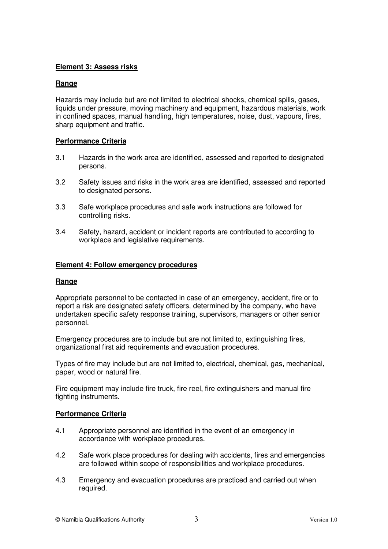## **Element 3: Assess risks**

#### **Range**

Hazards may include but are not limited to electrical shocks, chemical spills, gases, liquids under pressure, moving machinery and equipment, hazardous materials, work in confined spaces, manual handling, high temperatures, noise, dust, vapours, fires, sharp equipment and traffic.

## **Performance Criteria**

- 3.1 Hazards in the work area are identified, assessed and reported to designated persons.
- 3.2 Safety issues and risks in the work area are identified, assessed and reported to designated persons.
- 3.3 Safe workplace procedures and safe work instructions are followed for controlling risks.
- 3.4 Safety, hazard, accident or incident reports are contributed to according to workplace and legislative requirements.

#### **Element 4: Follow emergency procedures**

#### **Range**

Appropriate personnel to be contacted in case of an emergency, accident, fire or to report a risk are designated safety officers, determined by the company, who have undertaken specific safety response training, supervisors, managers or other senior personnel.

Emergency procedures are to include but are not limited to, extinguishing fires, organizational first aid requirements and evacuation procedures.

Types of fire may include but are not limited to, electrical, chemical, gas, mechanical, paper, wood or natural fire.

Fire equipment may include fire truck, fire reel, fire extinguishers and manual fire fighting instruments.

#### **Performance Criteria**

- 4.1 Appropriate personnel are identified in the event of an emergency in accordance with workplace procedures.
- 4.2 Safe work place procedures for dealing with accidents, fires and emergencies are followed within scope of responsibilities and workplace procedures.
- 4.3 Emergency and evacuation procedures are practiced and carried out when required.